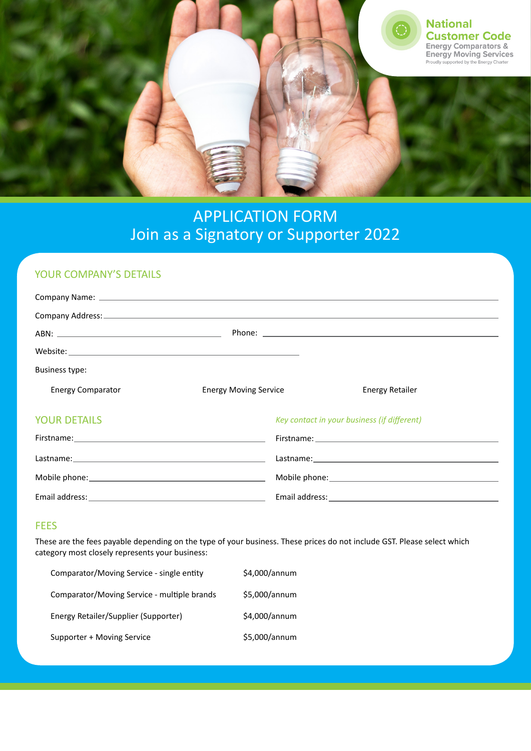

# APPLICATION FORM Join as a Signatory or Supporter 2022

### YOUR COMPANY'S DETAILS

| Business type:           |                              |                                                                                                                                                                                                                                |
|--------------------------|------------------------------|--------------------------------------------------------------------------------------------------------------------------------------------------------------------------------------------------------------------------------|
| <b>Energy Comparator</b> | <b>Energy Moving Service</b> | Energy Retailer                                                                                                                                                                                                                |
| <b>YOUR DETAILS</b>      |                              | Key contact in your business (if different)                                                                                                                                                                                    |
|                          |                              |                                                                                                                                                                                                                                |
|                          |                              |                                                                                                                                                                                                                                |
|                          |                              | Mobile phone: Notified that the state of the state of the state of the state of the state of the state of the state of the state of the state of the state of the state of the state of the state of the state of the state of |

Email address:

#### **FEES**

Email address:

These are the fees payable depending on the type of your business. These prices do not include GST. Please select which category most closely represents your business:

| Comparator/Moving Service - single entity   | \$4,000/annum |
|---------------------------------------------|---------------|
| Comparator/Moving Service - multiple brands | \$5,000/annum |
| Energy Retailer/Supplier (Supporter)        | \$4,000/annum |
| Supporter + Moving Service                  | \$5,000/annum |